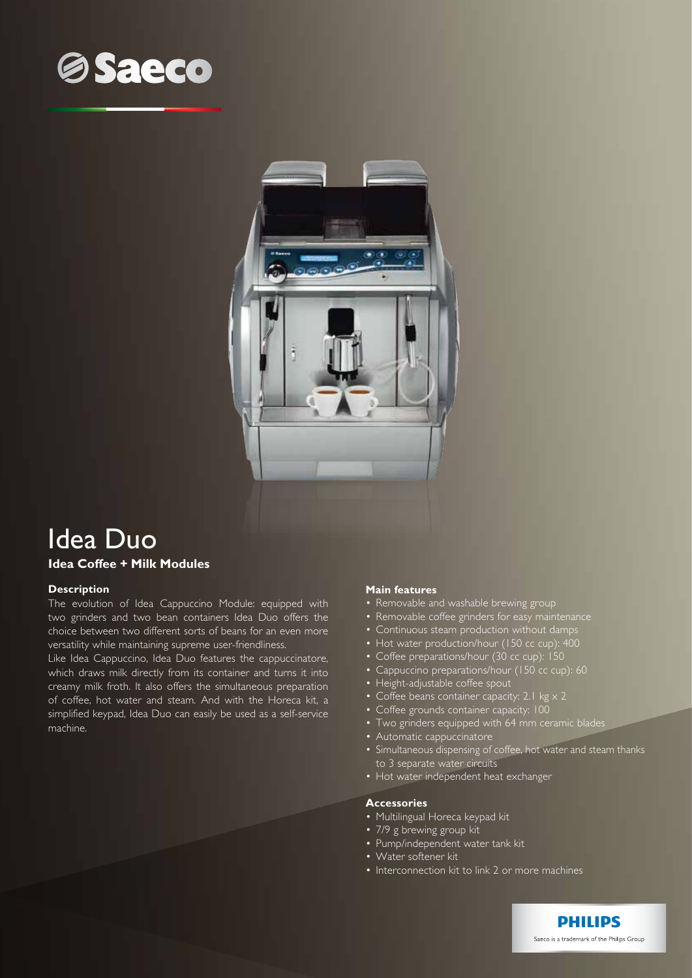



# Idea Duo

## **Idea Coffee + Milk Modules**

## **Description**

The evolution of Idea Cappuccino Module: equipped with two grinders and two bean containers Idea Duo offers the choice between two different sorts of beans for an even more versatility while maintaining supreme user-friendliness.

Like Idea Cappuccino, Idea Duo features the cappuccinatore, which draws milk directly from its container and turns it into creamy milk froth. It also offers the simultaneous preparation of coffee, hot water and steam. And with the Horeca kit, a simplified keypad, Idea Duo can easily be used as a self-service machine.

#### **Main features**

- Removable and washable brewing group
- Removable coffee grinders for easy maintenance
- Continuous steam production without damps
- Hot water production/hour (150 cc cup): 400
- Coffee preparations/hour (30 cc cup): 150
- Cappuccino preparations/hour (150 cc cup): 60
- Height-adjustable coffee spout
- Coffee beans container capacity: 2.1 kg  $\times$  2
- Coffee grounds container capacity: 100
- Two grinders equipped with 64 mm ceramic blades
- Automatic cappuccinatore
- Simultaneous dispensing of coffee, hot water and steam thanks to 3 separate water circuits
- Hot water independent heat exchanger

## **Accessories**

- Multilingual Horeca keypad kit
- 7/9 g brewing group kit
- Pump/independent water tank kit
- • Water softener kit
- Interconnection kit to link 2 or more machines

**PHILIPS** Saeco is a trademark of the Philips Group